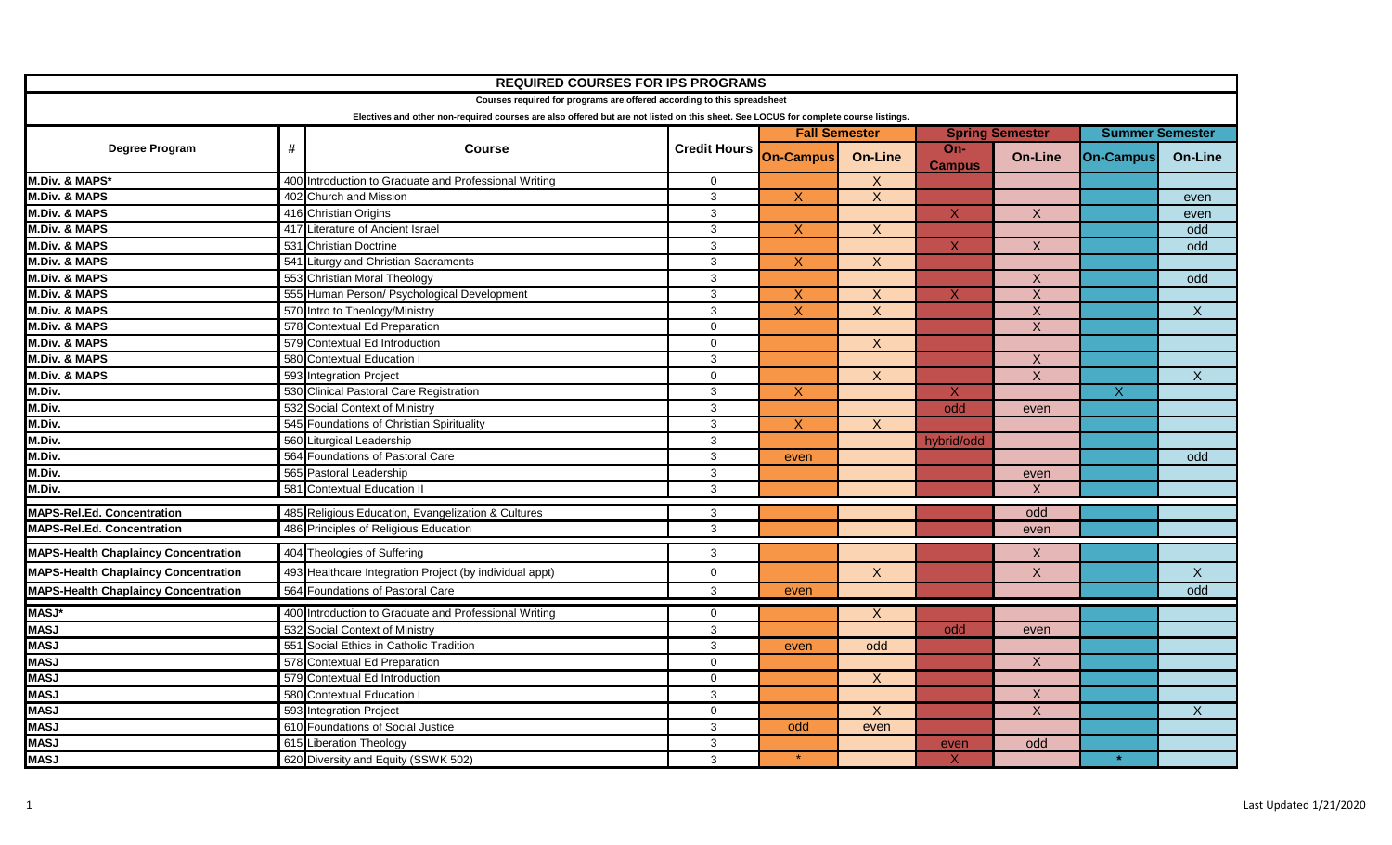| <b>REQUIRED COURSES FOR IPS PROGRAMS</b>                                                                                            |            |                                                         |                     |                      |                |                        |                           |                        |                |
|-------------------------------------------------------------------------------------------------------------------------------------|------------|---------------------------------------------------------|---------------------|----------------------|----------------|------------------------|---------------------------|------------------------|----------------|
| Courses required for programs are offered according to this spreadsheet                                                             |            |                                                         |                     |                      |                |                        |                           |                        |                |
| Electives and other non-required courses are also offered but are not listed on this sheet. See LOCUS for complete course listings. |            |                                                         |                     |                      |                |                        |                           |                        |                |
| Degree Program                                                                                                                      | $\pmb{\#}$ | <b>Course</b>                                           | <b>Credit Hours</b> | <b>Fall Semester</b> |                | <b>Spring Semester</b> |                           | <b>Summer Semester</b> |                |
|                                                                                                                                     |            |                                                         |                     | <b>On-Campus</b>     | <b>On-Line</b> | $On-$<br><b>Campus</b> | <b>On-Line</b>            | <b>On-Campus</b>       | <b>On-Line</b> |
| M.Div. & MAPS*                                                                                                                      |            | 400 Introduction to Graduate and Professional Writing   | $\mathbf 0$         |                      | $\overline{X}$ |                        |                           |                        |                |
| <b>M.Div. &amp; MAPS</b>                                                                                                            |            | 402 Church and Mission                                  | 3                   | $\mathsf{X}$         | $\mathsf{X}$   |                        |                           |                        | even           |
| <b>M.Div. &amp; MAPS</b>                                                                                                            |            | 416 Christian Origins                                   | 3                   |                      |                | $\mathsf{X}$           | $\mathsf{X}$              |                        | even           |
| <b>M.Div. &amp; MAPS</b>                                                                                                            |            | 417 Literature of Ancient Israel                        | 3                   | $\mathsf{X}$         | X              |                        |                           |                        | odd            |
| <b>M.Div. &amp; MAPS</b>                                                                                                            |            | 531 Christian Doctrine                                  | 3                   |                      |                | $\mathsf{X}$           | $\overline{X}$            |                        | odd            |
| <b>M.Div. &amp; MAPS</b>                                                                                                            |            | 541 Liturgy and Christian Sacraments                    | 3                   | $\overline{X}$       | $\overline{X}$ |                        |                           |                        |                |
| <b>M.Div. &amp; MAPS</b>                                                                                                            |            | 553 Christian Moral Theology                            | $\mathbf{3}$        |                      |                |                        | $\boldsymbol{X}$          |                        | odd            |
| <b>M.Div. &amp; MAPS</b>                                                                                                            |            | 555 Human Person/ Psychological Development             | 3                   | $\mathsf{X}$         | X              | X                      | $\overline{\mathsf{x}}$   |                        |                |
| <b>M.Div. &amp; MAPS</b>                                                                                                            |            | 570 Intro to Theology/Ministry                          | $\mathbf{3}$        | $\overline{X}$       | $\overline{X}$ |                        | $\overline{\mathsf{x}}$   |                        | $\overline{X}$ |
| <b>M.Div. &amp; MAPS</b>                                                                                                            |            | 578 Contextual Ed Preparation                           | $\mathbf 0$         |                      |                |                        | $\mathsf{X}$              |                        |                |
| <b>M.Div. &amp; MAPS</b>                                                                                                            |            | 579 Contextual Ed Introduction                          | $\mathbf 0$         |                      | $\overline{X}$ |                        |                           |                        |                |
| <b>M.Div. &amp; MAPS</b>                                                                                                            |            | 580 Contextual Education I                              | $\mathbf{3}$        |                      |                |                        | $\overline{X}$            |                        |                |
| <b>M.Div. &amp; MAPS</b>                                                                                                            |            | 593 Integration Project                                 | $\mathbf 0$         |                      | $\overline{X}$ |                        | $\overline{X}$            |                        | $\overline{X}$ |
| M.Div.                                                                                                                              |            | 530 Clinical Pastoral Care Registration                 | 3                   | $\overline{X}$       |                | $\overline{X}$         |                           | $\overline{X}$         |                |
| M.Div.                                                                                                                              |            | 532 Social Context of Ministry                          | 3                   |                      |                | odd                    | even                      |                        |                |
| M.Div.                                                                                                                              |            | 545 Foundations of Christian Spirituality               | 3                   | $\mathsf{X}$         | X              |                        |                           |                        |                |
| M.Div.                                                                                                                              |            | 560 Liturgical Leadership                               | $\mathbf{3}$        |                      |                | hybrid/odd             |                           |                        |                |
| M.Div.                                                                                                                              |            | 564 Foundations of Pastoral Care                        | 3                   | even                 |                |                        |                           |                        | odd            |
| M.Div.                                                                                                                              |            | 565 Pastoral Leadership                                 | $\mathbf{3}$        |                      |                |                        | even                      |                        |                |
| M.Div.                                                                                                                              |            | 581 Contextual Education II                             | $\mathbf{3}$        |                      |                |                        | $\mathsf{x}$              |                        |                |
| <b>MAPS-Rel.Ed. Concentration</b>                                                                                                   |            | 485 Religious Education, Evangelization & Cultures      | $\mathbf{3}$        |                      |                |                        | odd                       |                        |                |
| <b>MAPS-Rel.Ed. Concentration</b>                                                                                                   |            | 486 Principles of Religious Education                   | 3                   |                      |                |                        | even                      |                        |                |
| <b>MAPS-Health Chaplaincy Concentration</b>                                                                                         |            | 404 Theologies of Suffering                             | 3                   |                      |                |                        | $\mathsf{X}$              |                        |                |
| <b>MAPS-Health Chaplaincy Concentration</b>                                                                                         |            | 493 Healthcare Integration Project (by individual appt) | $\mathbf 0$         |                      | X              |                        | $\boldsymbol{X}$          |                        | $\mathsf{X}$   |
| <b>MAPS-Health Chaplaincy Concentration</b>                                                                                         |            | 564 Foundations of Pastoral Care                        | 3                   | even                 |                |                        |                           |                        | odd            |
| <b>MASJ*</b>                                                                                                                        |            | 400 Introduction to Graduate and Professional Writing   | $\mathbf 0$         |                      | $\mathsf{X}$   |                        |                           |                        |                |
| <b>MASJ</b>                                                                                                                         |            | 532 Social Context of Ministry                          | 3                   |                      |                | odd                    | even                      |                        |                |
| <b>MASJ</b>                                                                                                                         |            | 551 Social Ethics in Catholic Tradition                 | 3                   | even                 | odd            |                        |                           |                        |                |
| <b>MASJ</b>                                                                                                                         |            | 578 Contextual Ed Preparation                           | $\mathbf 0$         |                      |                |                        | $\overline{X}$            |                        |                |
| <b>MASJ</b>                                                                                                                         |            | 579 Contextual Ed Introduction                          | $\mathbf 0$         |                      | $\mathsf{X}$   |                        |                           |                        |                |
| <b>MASJ</b>                                                                                                                         |            | 580 Contextual Education I                              | 3                   |                      |                |                        | $\boldsymbol{\mathsf{X}}$ |                        |                |
| <b>MASJ</b>                                                                                                                         |            | 593 Integration Project                                 | $\mathbf 0$         |                      | $\overline{X}$ |                        | $\overline{X}$            |                        | $\overline{X}$ |
| <b>MASJ</b>                                                                                                                         |            | 610 Foundations of Social Justice                       | 3                   | odd                  | even           |                        |                           |                        |                |
| <b>MASJ</b>                                                                                                                         |            | 615 Liberation Theology                                 | $\mathbf{3}$        |                      |                | even                   | odd                       |                        |                |
| <b>MASJ</b>                                                                                                                         |            | 620 Diversity and Equity (SSWK 502)                     | 3                   |                      |                | X                      |                           |                        |                |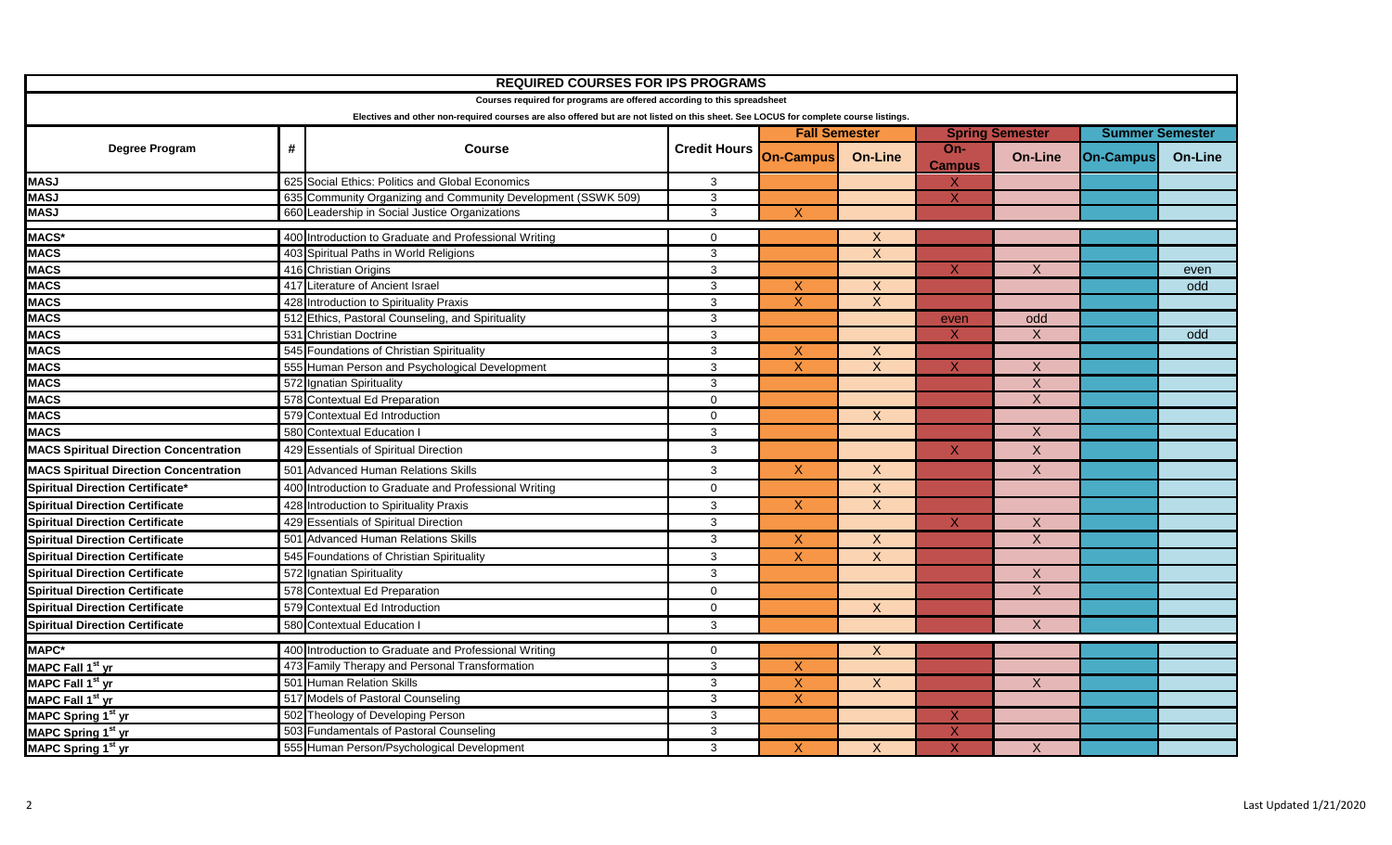| <b>REQUIRED COURSES FOR IPS PROGRAMS</b>                                                                                            |   |                                                               |                                      |                           |                  |                           |                  |                        |                |  |
|-------------------------------------------------------------------------------------------------------------------------------------|---|---------------------------------------------------------------|--------------------------------------|---------------------------|------------------|---------------------------|------------------|------------------------|----------------|--|
| Courses required for programs are offered according to this spreadsheet                                                             |   |                                                               |                                      |                           |                  |                           |                  |                        |                |  |
| Electives and other non-required courses are also offered but are not listed on this sheet. See LOCUS for complete course listings. |   |                                                               |                                      |                           |                  |                           |                  |                        |                |  |
| Degree Program                                                                                                                      |   |                                                               | <b>Course</b><br><b>Credit Hours</b> | <b>Fall Semester</b>      |                  | <b>Spring Semester</b>    |                  | <b>Summer Semester</b> |                |  |
|                                                                                                                                     | # |                                                               |                                      | <b>On-Campus</b>          | <b>On-Line</b>   | $On-$                     | <b>On-Line</b>   | <b>On-Campus</b>       | <b>On-Line</b> |  |
| <b>MASJ</b>                                                                                                                         |   | 625 Social Ethics: Politics and Global Economics              | 3                                    |                           |                  | <b>Campus</b><br>X        |                  |                        |                |  |
| <b>MASJ</b>                                                                                                                         |   | 635 Community Organizing and Community Development (SSWK 509) | $\mathbf{3}$                         |                           |                  | $\mathsf{X}$              |                  |                        |                |  |
| <b>MASJ</b>                                                                                                                         |   | 660 Leadership in Social Justice Organizations                | 3                                    | $\boldsymbol{X}$          |                  |                           |                  |                        |                |  |
| MACS*                                                                                                                               |   | 400 Introduction to Graduate and Professional Writing         | $\mathbf 0$                          |                           | $\mathsf{X}$     |                           |                  |                        |                |  |
| <b>MACS</b>                                                                                                                         |   | 403 Spiritual Paths in World Religions                        | 3                                    |                           | $\overline{X}$   |                           |                  |                        |                |  |
| <b>MACS</b>                                                                                                                         |   | 416 Christian Origins                                         | 3                                    |                           |                  | X                         | X                |                        | even           |  |
| <b>MACS</b>                                                                                                                         |   | 417 Literature of Ancient Israel                              | 3                                    | $\mathsf{X}$              | $\mathsf{X}$     |                           |                  |                        | odd            |  |
| <b>MACS</b>                                                                                                                         |   | 428 Introduction to Spirituality Praxis                       | 3                                    | X                         | $\mathsf{X}$     |                           |                  |                        |                |  |
| <b>MACS</b>                                                                                                                         |   | 512 Ethics, Pastoral Counseling, and Spirituality             | 3                                    |                           |                  | even                      | odd              |                        |                |  |
| <b>MACS</b>                                                                                                                         |   | 531 Christian Doctrine                                        | 3                                    |                           |                  | X                         | $\mathsf{X}$     |                        | odd            |  |
| <b>MACS</b>                                                                                                                         |   | 545 Foundations of Christian Spirituality                     | $\mathbf{3}$                         | X                         | X                |                           |                  |                        |                |  |
| <b>MACS</b>                                                                                                                         |   | 555 Human Person and Psychological Development                | $\sqrt{3}$                           | $\boldsymbol{\mathsf{X}}$ | $\boldsymbol{X}$ | X                         | $\boldsymbol{X}$ |                        |                |  |
| <b>MACS</b>                                                                                                                         |   | 572 Ignatian Spirituality                                     | 3                                    |                           |                  |                           | $\boldsymbol{X}$ |                        |                |  |
| <b>MACS</b>                                                                                                                         |   | 578 Contextual Ed Preparation                                 | $\Omega$                             |                           |                  |                           | $\overline{X}$   |                        |                |  |
| <b>MACS</b>                                                                                                                         |   | 579 Contextual Ed Introduction                                | $\mathbf 0$                          |                           | $\overline{X}$   |                           |                  |                        |                |  |
| <b>MACS</b>                                                                                                                         |   | 580 Contextual Education I                                    | 3                                    |                           |                  |                           | $\mathsf{X}$     |                        |                |  |
| <b>MACS Spiritual Direction Concentration</b>                                                                                       |   | 429 Essentials of Spiritual Direction                         | $\mathbf{3}$                         |                           |                  | X                         | $\mathsf X$      |                        |                |  |
| <b>MACS Spiritual Direction Concentration</b>                                                                                       |   | 501 Advanced Human Relations Skills                           | 3                                    | $\mathsf{X}$              | $\mathsf{X}$     |                           | $\mathsf{X}$     |                        |                |  |
| <b>Spiritual Direction Certificate*</b>                                                                                             |   | 400 Introduction to Graduate and Professional Writing         | $\mathsf{O}\xspace$                  |                           | $\mathsf{X}$     |                           |                  |                        |                |  |
| <b>Spiritual Direction Certificate</b>                                                                                              |   | 428 Introduction to Spirituality Praxis                       | 3                                    | $\boldsymbol{X}$          | $\mathsf{X}$     |                           |                  |                        |                |  |
| <b>Spiritual Direction Certificate</b>                                                                                              |   | 429 Essentials of Spiritual Direction                         | $\mathbf{3}$                         |                           |                  | X                         | $\mathsf{X}$     |                        |                |  |
| <b>Spiritual Direction Certificate</b>                                                                                              |   | 501 Advanced Human Relations Skills                           | 3                                    | $\boldsymbol{\mathsf{X}}$ | $\mathsf{X}$     |                           | $\mathsf{X}$     |                        |                |  |
| <b>Spiritual Direction Certificate</b>                                                                                              |   | 545 Foundations of Christian Spirituality                     | $\mathbf{3}$                         | $\boldsymbol{\mathsf{X}}$ | $\mathsf{X}$     |                           |                  |                        |                |  |
| <b>Spiritual Direction Certificate</b>                                                                                              |   | 572 Ignatian Spirituality                                     | 3                                    |                           |                  |                           | $\boldsymbol{X}$ |                        |                |  |
| <b>Spiritual Direction Certificate</b>                                                                                              |   | 578 Contextual Ed Preparation                                 | $\Omega$                             |                           |                  |                           | $\overline{X}$   |                        |                |  |
| <b>Spiritual Direction Certificate</b>                                                                                              |   | 579 Contextual Ed Introduction                                | $\mathbf 0$                          |                           | $\mathsf{X}$     |                           |                  |                        |                |  |
| <b>Spiritual Direction Certificate</b>                                                                                              |   | 580 Contextual Education I                                    | 3                                    |                           |                  |                           | X                |                        |                |  |
|                                                                                                                                     |   |                                                               |                                      |                           |                  |                           |                  |                        |                |  |
| <b>MAPC*</b>                                                                                                                        |   | 400 Introduction to Graduate and Professional Writing         | $\mathbf 0$                          |                           | $\boldsymbol{X}$ |                           |                  |                        |                |  |
| MAPC Fall 1 <sup>st</sup> yr                                                                                                        |   | 473 Family Therapy and Personal Transformation                | $\overline{3}$                       | Χ                         |                  |                           |                  |                        |                |  |
| MAPC Fall 1 <sup>st</sup> yr                                                                                                        |   | 501 Human Relation Skills                                     | $\mathbf{3}$                         | $\overline{X}$            | $\overline{X}$   |                           | X                |                        |                |  |
| MAPC Fall 1 <sup>st</sup> yr                                                                                                        |   | 517 Models of Pastoral Counseling                             | 3                                    | $\overline{X}$            |                  |                           |                  |                        |                |  |
| MAPC Spring 1 <sup>st</sup> yr                                                                                                      |   | 502 Theology of Developing Person                             | 3                                    |                           |                  | X                         |                  |                        |                |  |
| MAPC Spring 1 <sup>st</sup> yr                                                                                                      |   | 503 Fundamentals of Pastoral Counseling                       | 3                                    |                           |                  | $\boldsymbol{\mathsf{X}}$ |                  |                        |                |  |
| MAPC Spring 1st yr                                                                                                                  |   | 555 Human Person/Psychological Development                    | 3                                    | X                         | X                | $\sf X$                   | X                |                        |                |  |